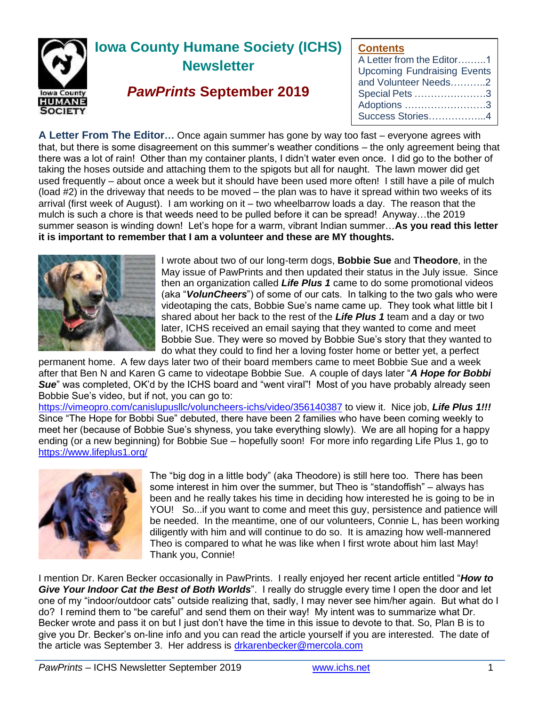

# **Iowa County Humane Society (ICHS) Newsletter**

# *PawPrints* **September 2019**

# **Contents**

**A Letter From The Editor…** Once again summer has gone by way too fast – everyone agrees with that, but there is some disagreement on this summer's weather conditions – the only agreement being that there was a lot of rain! Other than my container plants, I didn't water even once. I did go to the bother of taking the hoses outside and attaching them to the spigots but all for naught. The lawn mower did get used frequently – about once a week but it should have been used more often! I still have a pile of mulch (load #2) in the driveway that needs to be moved – the plan was to have it spread within two weeks of its arrival (first week of August). I am working on it – two wheelbarrow loads a day. The reason that the mulch is such a chore is that weeds need to be pulled before it can be spread! Anyway…the 2019 summer season is winding down! Let's hope for a warm, vibrant Indian summer…**As you read this letter it is important to remember that I am a volunteer and these are MY thoughts.**



I wrote about two of our long-term dogs, **Bobbie Sue** and **Theodore**, in the May issue of PawPrints and then updated their status in the July issue. Since then an organization called *Life Plus 1* came to do some promotional videos (aka "*VolunCheers*") of some of our cats. In talking to the two gals who were videotaping the cats, Bobbie Sue's name came up. They took what little bit I shared about her back to the rest of the *Life Plus 1* team and a day or two later, ICHS received an email saying that they wanted to come and meet Bobbie Sue. They were so moved by Bobbie Sue's story that they wanted to do what they could to find her a loving foster home or better yet, a perfect

permanent home. A few days later two of their board members came to meet Bobbie Sue and a week after that Ben N and Karen G came to videotape Bobbie Sue. A couple of days later "*A Hope for Bobbi*  **Sue**" was completed, OK'd by the ICHS board and "went viral"! Most of you have probably already seen Bobbie Sue's video, but if not, you can go to:

<https://vimeopro.com/canislupusllc/voluncheers-ichs/video/356140387> to view it. Nice job, *Life Plus 1!!!* Since "The Hope for Bobbi Sue" debuted, there have been 2 families who have been coming weekly to meet her (because of Bobbie Sue's shyness, you take everything slowly). We are all hoping for a happy ending (or a new beginning) for Bobbie Sue – hopefully soon! For more info regarding Life Plus 1, go to <https://www.lifeplus1.org/>



The "big dog in a little body" (aka Theodore) is still here too. There has been some interest in him over the summer, but Theo is "standoffish" – always has been and he really takes his time in deciding how interested he is going to be in YOU! So...if you want to come and meet this guy, persistence and patience will be needed. In the meantime, one of our volunteers, Connie L, has been working diligently with him and will continue to do so. It is amazing how well-mannered Theo is compared to what he was like when I first wrote about him last May! Thank you, Connie!

I mention Dr. Karen Becker occasionally in PawPrints. I really enjoyed her recent article entitled "*How to Give Your Indoor Cat the Best of Both Worlds*". I really do struggle every time I open the door and let one of my "indoor/outdoor cats" outside realizing that, sadly, I may never see him/her again. But what do I do? I remind them to "be careful" and send them on their way! My intent was to summarize what Dr. Becker wrote and pass it on but I just don't have the time in this issue to devote to that. So, Plan B is to give you Dr. Becker's on-line info and you can read the article yourself if you are interested. The date of the article was September 3. Her address is<drkarenbecker@mercola.com>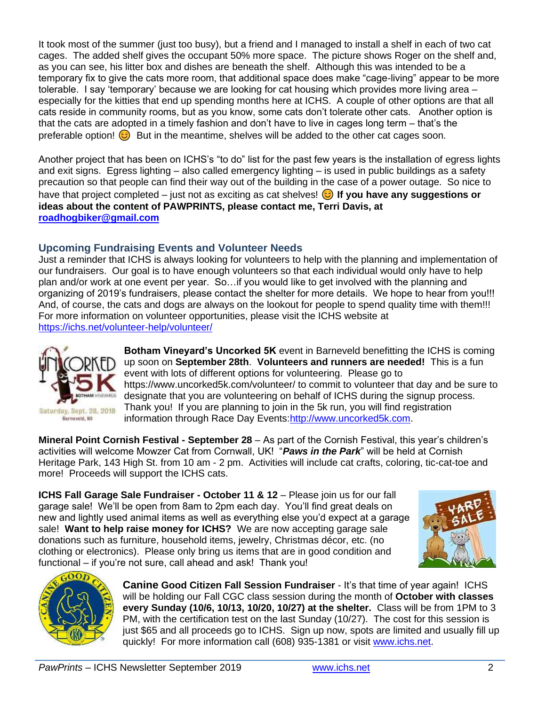It took most of the summer (just too busy), but a friend and I managed to install a shelf in each of two cat cages. The added shelf gives the occupant 50% more space. The picture shows Roger on the shelf and, as you can see, his litter box and dishes are beneath the shelf. Although this was intended to be a temporary fix to give the cats more room, that additional space does make "cage-living" appear to be more tolerable. I say 'temporary' because we are looking for cat housing which provides more living area – especially for the kitties that end up spending months here at ICHS. A couple of other options are that all cats reside in community rooms, but as you know, some cats don't tolerate other cats. Another option is that the cats are adopted in a timely fashion and don't have to live in cages long term – that's the preferable option!  $\odot$  But in the meantime, shelves will be added to the other cat cages soon.

Another project that has been on ICHS's "to do" list for the past few years is the installation of egress lights and exit signs. Egress lighting – also called emergency lighting – is used in public buildings as a safety precaution so that people can find their way out of the building in the case of a power outage. So nice to have that project completed – just not as exciting as cat shelves! **If you have any suggestions or ideas about the content of PAWPRINTS, please contact me, Terri Davis, at [roadhogbiker@gmail.com](mailto:roadhogbiker@gmail.com)**

# **Upcoming Fundraising Events and Volunteer Needs**

Just a reminder that ICHS is always looking for volunteers to help with the planning and implementation of our fundraisers. Our goal is to have enough volunteers so that each individual would only have to help plan and/or work at one event per year. So…if you would like to get involved with the planning and organizing of 2019's fundraisers, please contact the shelter for more details. We hope to hear from you!!! And, of course, the cats and dogs are always on the lookout for people to spend quality time with them!!! For more information on volunteer opportunities, please visit the ICHS website at <https://ichs.net/volunteer-help/volunteer/>



**Botham Vineyard's Uncorked 5K** event in Barneveld benefitting the ICHS is coming up soon on **September 28th**. **Volunteers and runners are needed!** This is a fun event with lots of different options for volunteering. Please go to https://www.uncorked5k.com/volunteer/ to commit to volunteer that day and be sure to designate that you are volunteering on behalf of ICHS during the signup process. Thank you! If you are planning to join in the 5k run, you will find registration information through Race Day Events[:http://www.uncorked5k.com.](http://www.uncorked5k.com/)

**Mineral Point Cornish Festival - September 28** – As part of the Cornish Festival, this year's children's activities will welcome Mowzer Cat from Cornwall, UK! "*Paws in the Park*" will be held at Cornish Heritage Park, 143 High St. from 10 am - 2 pm. Activities will include cat crafts, coloring, tic-cat-toe and more! Proceeds will support the ICHS cats.

**ICHS Fall Garage Sale Fundraiser - October 11 & 12** – Please join us for our fall garage sale! We'll be open from 8am to 2pm each day. You'll find great deals on new and lightly used animal items as well as everything else you'd expect at a garage sale! **Want to help raise money for ICHS?** We are now accepting garage sale donations such as furniture, household items, jewelry, Christmas décor, etc. (no clothing or electronics). Please only bring us items that are in good condition and functional – if you're not sure, call ahead and ask! Thank you!





**Canine Good Citizen Fall Session Fundraiser** - It's that time of year again! ICHS will be holding our Fall CGC class session during the month of **October with classes every Sunday (10/6, 10/13, 10/20, 10/27) at the shelter.** Class will be from 1PM to 3 PM, with the certification test on the last Sunday (10/27). The cost for this session is just \$65 and all proceeds go to ICHS. Sign up now, spots are limited and usually fill up quickly! For more information call (608) 935-1381 or visit [www.ichs.net.](www.ichs.net)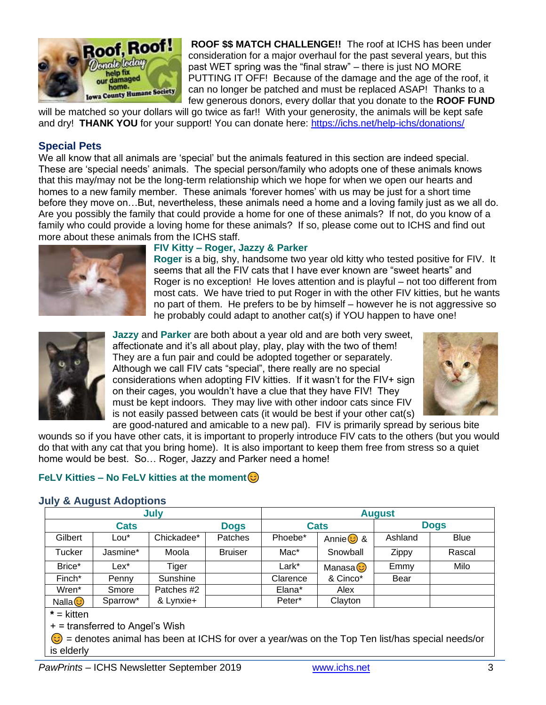

**ROOF \$\$ MATCH CHALLENGE!!** The roof at ICHS has been under consideration for a major overhaul for the past several years, but this past WET spring was the "final straw" – there is just NO MORE PUTTING IT OFF! Because of the damage and the age of the roof, it can no longer be patched and must be replaced ASAP! Thanks to a few generous donors, every dollar that you donate to the **ROOF FUND**

will be matched so your dollars will go twice as far!! With your generosity, the animals will be kept safe and dry! **THANK YOU** for your support! You can donate here:<https://ichs.net/help-ichs/donations/>

#### **Special Pets**

We all know that all animals are 'special' but the animals featured in this section are indeed special. These are 'special needs' animals. The special person/family who adopts one of these animals knows that this may/may not be the long-term relationship which we hope for when we open our hearts and homes to a new family member. These animals 'forever homes' with us may be just for a short time before they move on…But, nevertheless, these animals need a home and a loving family just as we all do. Are you possibly the family that could provide a home for one of these animals? If not, do you know of a family who could provide a loving home for these animals? If so, please come out to ICHS and find out more about these animals from the ICHS staff.



#### **FIV Kitty – Roger, Jazzy & Parker**

**Roger** is a big, shy, handsome two year old kitty who tested positive for FIV. It seems that all the FIV cats that I have ever known are "sweet hearts" and Roger is no exception! He loves attention and is playful – not too different from most cats. We have tried to put Roger in with the other FIV kitties, but he wants no part of them. He prefers to be by himself – however he is not aggressive so he probably could adapt to another cat(s) if YOU happen to have one!



**Jazzy** and **Parker** are both about a year old and are both very sweet, affectionate and it's all about play, play, play with the two of them! They are a fun pair and could be adopted together or separately. Although we call FIV cats "special", there really are no special considerations when adopting FIV kitties. If it wasn't for the FIV+ sign on their cages, you wouldn't have a clue that they have FIV! They must be kept indoors. They may live with other indoor cats since FIV is not easily passed between cats (it would be best if your other cat(s)



are good-natured and amicable to a new pal). FIV is primarily spread by serious bite wounds so if you have other cats, it is important to properly introduce FIV cats to the others (but you would do that with any cat that you bring home). It is also important to keep them free from stress so a quiet home would be best. So… Roger, Jazzy and Parker need a home!

# **FeLV Kitties – No FeLV kitties at the moment**

#### **July & August Adoptions**

| July               |                  |            |                | <b>August</b> |                 |              |             |
|--------------------|------------------|------------|----------------|---------------|-----------------|--------------|-------------|
| <b>Cats</b>        |                  |            | <b>Dogs</b>    | <b>Cats</b>   |                 | <b>Dogs</b>  |             |
| Gilbert            | Lou <sup>*</sup> | Chickadee* | Patches        | Phoebe*       | Annie $\odot$ & | Ashland      | <b>Blue</b> |
| <b>Tucker</b>      | Jasmine*         | Moola      | <b>Bruiser</b> | Mac*          | Snowball        | <b>Zippy</b> | Rascal      |
| Brice*             | Lex*             | Tiger      |                | Lark*         | Manasa C        | Emmy         | Milo        |
| Finch*             | Penny            | Sunshine   |                | Clarence      | & Cinco*        | Bear         |             |
| Wren*              | Smore            | Patches #2 |                | Elana*        | Alex            |              |             |
| Nalla <sup>3</sup> | Sparrow*         | & Lynxie+  |                | Peter*        | Clayton         |              |             |

**\*** = kitten

+ = transferred to Angel's Wish

 $\odot$  = denotes animal has been at ICHS for over a year/was on the Top Ten list/has special needs/or is elderly